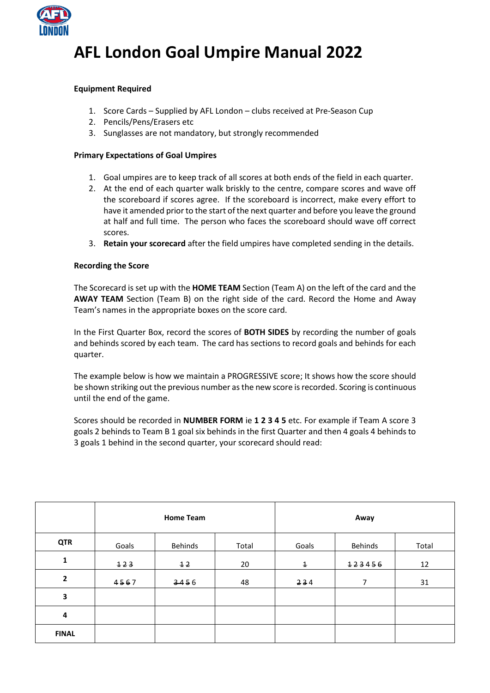

# **AFL London Goal Umpire Manual 2022**

## **Equipment Required**

- 1. Score Cards Supplied by AFL London clubs received at Pre-Season Cup
- 2. Pencils/Pens/Erasers etc
- 3. Sunglasses are not mandatory, but strongly recommended

## **Primary Expectations of Goal Umpires**

- 1. Goal umpires are to keep track of all scores at both ends of the field in each quarter.
- 2. At the end of each quarter walk briskly to the centre, compare scores and wave off the scoreboard if scores agree. If the scoreboard is incorrect, make every effort to have it amended prior to the start of the next quarter and before you leave the ground at half and full time. The person who faces the scoreboard should wave off correct scores.
- 3. **Retain your scorecard** after the field umpires have completed sending in the details.

## **Recording the Score**

The Scorecard is set up with the **HOME TEAM** Section (Team A) on the left of the card and the **AWAY TEAM** Section (Team B) on the right side of the card. Record the Home and Away Team's names in the appropriate boxes on the score card.

In the First Quarter Box, record the scores of **BOTH SIDES** by recording the number of goals and behinds scored by each team. The card has sections to record goals and behinds for each quarter.

The example below is how we maintain a PROGRESSIVE score; It shows how the score should be shown striking out the previous number as the new score is recorded. Scoring is continuous until the end of the game.

Scores should be recorded in **NUMBER FORM** ie **1 2 3 4 5** etc. For example if Team A score 3 goals 2 behinds to Team B 1 goal six behinds in the first Quarter and then 4 goals 4 behinds to 3 goals 1 behind in the second quarter, your scorecard should read:

|                | <b>Home Team</b> |         |       | Away        |         |       |
|----------------|------------------|---------|-------|-------------|---------|-------|
| <b>QTR</b>     | Goals            | Behinds | Total | Goals       | Behinds | Total |
| $\mathbf{1}$   | 123              | 12      | 20    | $\mathbf 1$ | 123456  | 12    |
| $\overline{2}$ | 4567             | 3456    | 48    | 234         | 7       | 31    |
| 3              |                  |         |       |             |         |       |
| 4              |                  |         |       |             |         |       |
| <b>FINAL</b>   |                  |         |       |             |         |       |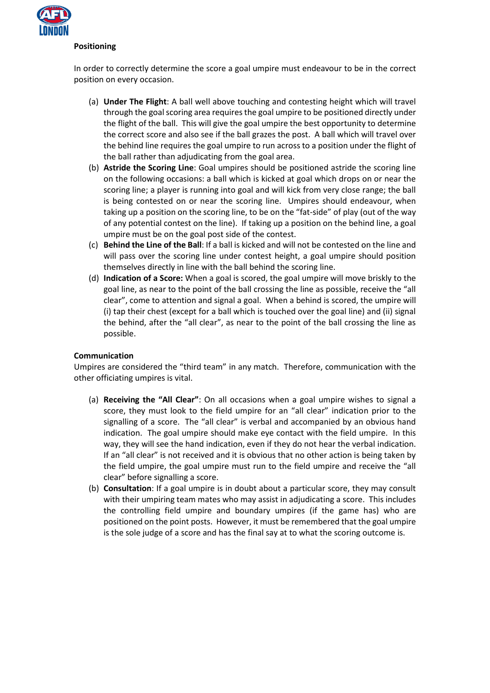

#### **Positioning**

In order to correctly determine the score a goal umpire must endeavour to be in the correct position on every occasion.

- (a) **Under The Flight**: A ball well above touching and contesting height which will travel through the goal scoring area requires the goal umpire to be positioned directly under the flight of the ball. This will give the goal umpire the best opportunity to determine the correct score and also see if the ball grazes the post. A ball which will travel over the behind line requires the goal umpire to run across to a position under the flight of the ball rather than adjudicating from the goal area.
- (b) **Astride the Scoring Line**: Goal umpires should be positioned astride the scoring line on the following occasions: a ball which is kicked at goal which drops on or near the scoring line; a player is running into goal and will kick from very close range; the ball is being contested on or near the scoring line. Umpires should endeavour, when taking up a position on the scoring line, to be on the "fat-side" of play (out of the way of any potential contest on the line). If taking up a position on the behind line, a goal umpire must be on the goal post side of the contest.
- (c) **Behind the Line of the Ball**: If a ball is kicked and will not be contested on the line and will pass over the scoring line under contest height, a goal umpire should position themselves directly in line with the ball behind the scoring line.
- (d) **Indication of a Score:** When a goal is scored, the goal umpire will move briskly to the goal line, as near to the point of the ball crossing the line as possible, receive the "all clear", come to attention and signal a goal. When a behind is scored, the umpire will (i) tap their chest (except for a ball which is touched over the goal line) and (ii) signal the behind, after the "all clear", as near to the point of the ball crossing the line as possible.

## **Communication**

Umpires are considered the "third team" in any match. Therefore, communication with the other officiating umpires is vital.

- (a) **Receiving the "All Clear"**: On all occasions when a goal umpire wishes to signal a score, they must look to the field umpire for an "all clear" indication prior to the signalling of a score. The "all clear" is verbal and accompanied by an obvious hand indication. The goal umpire should make eye contact with the field umpire. In this way, they will see the hand indication, even if they do not hear the verbal indication. If an "all clear" is not received and it is obvious that no other action is being taken by the field umpire, the goal umpire must run to the field umpire and receive the "all clear" before signalling a score.
- (b) **Consultation**: If a goal umpire is in doubt about a particular score, they may consult with their umpiring team mates who may assist in adjudicating a score. This includes the controlling field umpire and boundary umpires (if the game has) who are positioned on the point posts. However, it must be remembered that the goal umpire is the sole judge of a score and has the final say at to what the scoring outcome is.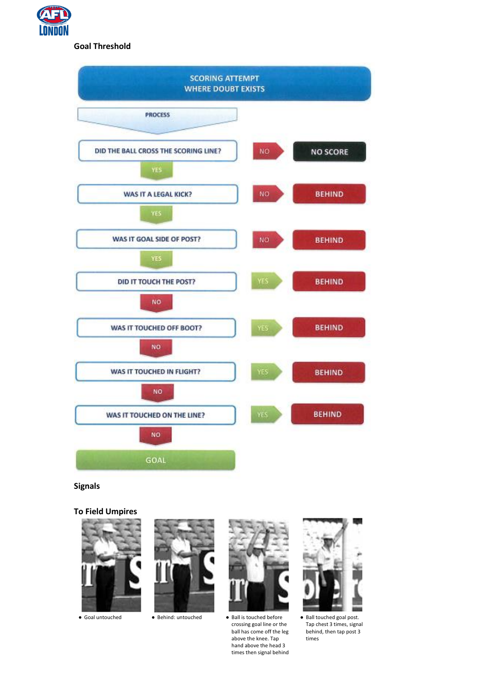

## **Goal Threshold**



**Signals**

**To Field Umpires**







● Goal untouched ● Behind: untouched ● Ball is touched before crossing goal line or the ball has come off the leg above the knee. Tap hand above the head 3 times then signal behind



● Ball touched goal post. Tap chest 3 times, signal behind, then tap post 3 times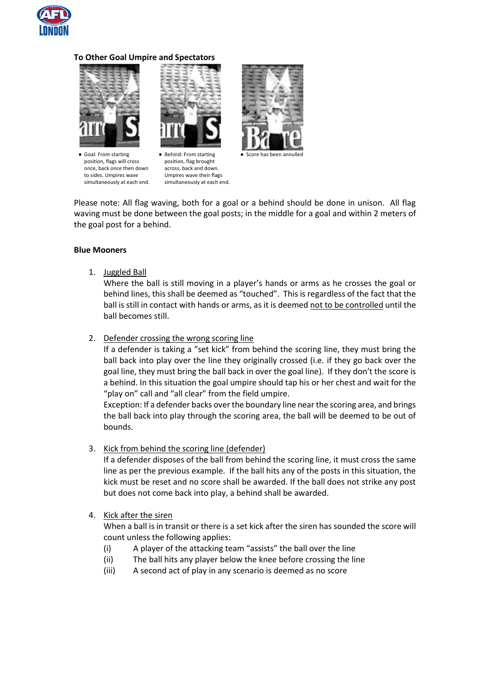

#### **To Other Goal Umpire and Spectators**



● Goal: From starting position, flags will cross once, back once then down to sides. Umpires wave simultaneously at each end.



● Behind: From starting position, flag brought across, back and down. Umpires wave their flags simultaneously at each end.



● Score has been annulled

Please note: All flag waving, both for a goal or a behind should be done in unison. All flag waving must be done between the goal posts; in the middle for a goal and within 2 meters of the goal post for a behind.

#### **Blue Mooners**

1. Juggled Ball

Where the ball is still moving in a player's hands or arms as he crosses the goal or behind lines, this shall be deemed as "touched". This is regardless of the fact that the ball is still in contact with hands or arms, as it is deemed not to be controlled until the ball becomes still.

2. Defender crossing the wrong scoring line

If a defender is taking a "set kick" from behind the scoring line, they must bring the ball back into play over the line they originally crossed (i.e. if they go back over the goal line, they must bring the ball back in over the goal line). If they don't the score is a behind. In this situation the goal umpire should tap his or her chest and wait for the "play on" call and "all clear" from the field umpire.

Exception: If a defender backs over the boundary line near the scoring area, and brings the ball back into play through the scoring area, the ball will be deemed to be out of bounds.

3. Kick from behind the scoring line (defender)

If a defender disposes of the ball from behind the scoring line, it must cross the same line as per the previous example. If the ball hits any of the posts in this situation, the kick must be reset and no score shall be awarded. If the ball does not strike any post but does not come back into play, a behind shall be awarded.

#### 4. Kick after the siren

When a ball is in transit or there is a set kick after the siren has sounded the score will count unless the following applies:

- (i) A player of the attacking team "assists" the ball over the line
- (ii) The ball hits any player below the knee before crossing the line
- (iii) A second act of play in any scenario is deemed as no score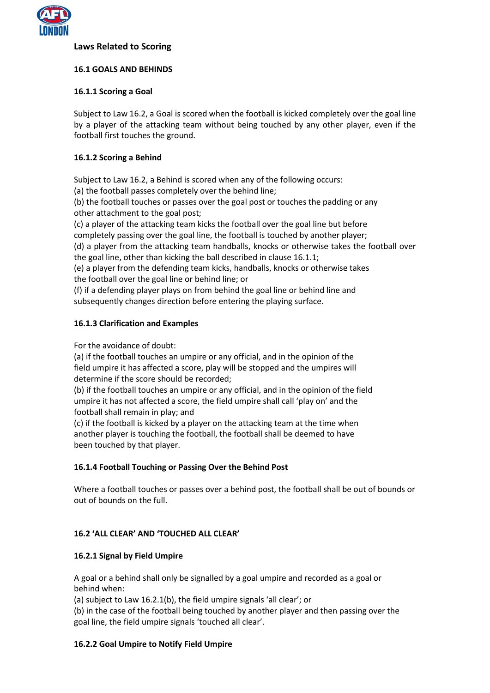

## **Laws Related to Scoring**

## **16.1 GOALS AND BEHINDS**

## **16.1.1 Scoring a Goal**

Subject to Law 16.2, a Goal is scored when the football is kicked completely over the goal line by a player of the attacking team without being touched by any other player, even if the football first touches the ground.

## **16.1.2 Scoring a Behind**

Subject to Law 16.2, a Behind is scored when any of the following occurs:

(a) the football passes completely over the behind line;

(b) the football touches or passes over the goal post or touches the padding or any other attachment to the goal post;

(c) a player of the attacking team kicks the football over the goal line but before completely passing over the goal line, the football is touched by another player;

(d) a player from the attacking team handballs, knocks or otherwise takes the football over the goal line, other than kicking the ball described in clause 16.1.1;

(e) a player from the defending team kicks, handballs, knocks or otherwise takes the football over the goal line or behind line; or

(f) if a defending player plays on from behind the goal line or behind line and subsequently changes direction before entering the playing surface.

## **16.1.3 Clarification and Examples**

For the avoidance of doubt:

(a) if the football touches an umpire or any official, and in the opinion of the field umpire it has affected a score, play will be stopped and the umpires will determine if the score should be recorded;

(b) if the football touches an umpire or any official, and in the opinion of the field umpire it has not affected a score, the field umpire shall call 'play on' and the football shall remain in play; and

(c) if the football is kicked by a player on the attacking team at the time when another player is touching the football, the football shall be deemed to have been touched by that player.

## **16.1.4 Football Touching or Passing Over the Behind Post**

Where a football touches or passes over a behind post, the football shall be out of bounds or out of bounds on the full.

## **16.2 'ALL CLEAR' AND 'TOUCHED ALL CLEAR'**

#### **16.2.1 Signal by Field Umpire**

A goal or a behind shall only be signalled by a goal umpire and recorded as a goal or behind when:

(a) subject to Law 16.2.1(b), the field umpire signals 'all clear'; or

(b) in the case of the football being touched by another player and then passing over the goal line, the field umpire signals 'touched all clear'.

#### **16.2.2 Goal Umpire to Notify Field Umpire**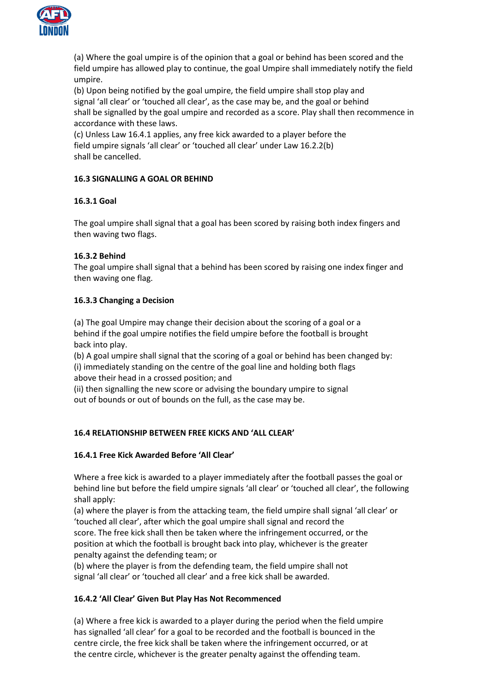

(a) Where the goal umpire is of the opinion that a goal or behind has been scored and the field umpire has allowed play to continue, the goal Umpire shall immediately notify the field umpire.

(b) Upon being notified by the goal umpire, the field umpire shall stop play and signal 'all clear' or 'touched all clear', as the case may be, and the goal or behind shall be signalled by the goal umpire and recorded as a score. Play shall then recommence in accordance with these laws.

(c) Unless Law 16.4.1 applies, any free kick awarded to a player before the field umpire signals 'all clear' or 'touched all clear' under Law 16.2.2(b) shall be cancelled.

# **16.3 SIGNALLING A GOAL OR BEHIND**

# **16.3.1 Goal**

The goal umpire shall signal that a goal has been scored by raising both index fingers and then waving two flags.

# **16.3.2 Behind**

The goal umpire shall signal that a behind has been scored by raising one index finger and then waving one flag.

# **16.3.3 Changing a Decision**

(a) The goal Umpire may change their decision about the scoring of a goal or a behind if the goal umpire notifies the field umpire before the football is brought back into play.

(b) A goal umpire shall signal that the scoring of a goal or behind has been changed by: (i) immediately standing on the centre of the goal line and holding both flags above their head in a crossed position; and

(ii) then signalling the new score or advising the boundary umpire to signal out of bounds or out of bounds on the full, as the case may be.

## **16.4 RELATIONSHIP BETWEEN FREE KICKS AND 'ALL CLEAR'**

## **16.4.1 Free Kick Awarded Before 'All Clear'**

Where a free kick is awarded to a player immediately after the football passes the goal or behind line but before the field umpire signals 'all clear' or 'touched all clear', the following shall apply:

(a) where the player is from the attacking team, the field umpire shall signal 'all clear' or 'touched all clear', after which the goal umpire shall signal and record the score. The free kick shall then be taken where the infringement occurred, or the position at which the football is brought back into play, whichever is the greater penalty against the defending team; or

(b) where the player is from the defending team, the field umpire shall not signal 'all clear' or 'touched all clear' and a free kick shall be awarded.

## **16.4.2 'All Clear' Given But Play Has Not Recommenced**

(a) Where a free kick is awarded to a player during the period when the field umpire has signalled 'all clear' for a goal to be recorded and the football is bounced in the centre circle, the free kick shall be taken where the infringement occurred, or at the centre circle, whichever is the greater penalty against the offending team.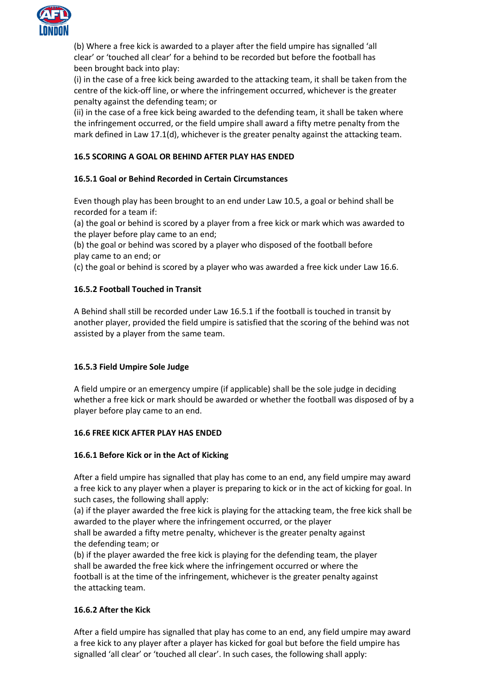

(b) Where a free kick is awarded to a player after the field umpire has signalled 'all clear' or 'touched all clear' for a behind to be recorded but before the football has been brought back into play:

(i) in the case of a free kick being awarded to the attacking team, it shall be taken from the centre of the kick-off line, or where the infringement occurred, whichever is the greater penalty against the defending team; or

(ii) in the case of a free kick being awarded to the defending team, it shall be taken where the infringement occurred, or the field umpire shall award a fifty metre penalty from the mark defined in Law 17.1(d), whichever is the greater penalty against the attacking team.

# **16.5 SCORING A GOAL OR BEHIND AFTER PLAY HAS ENDED**

# **16.5.1 Goal or Behind Recorded in Certain Circumstances**

Even though play has been brought to an end under Law 10.5, a goal or behind shall be recorded for a team if:

(a) the goal or behind is scored by a player from a free kick or mark which was awarded to the player before play came to an end;

(b) the goal or behind was scored by a player who disposed of the football before play came to an end; or

(c) the goal or behind is scored by a player who was awarded a free kick under Law 16.6.

## **16.5.2 Football Touched in Transit**

A Behind shall still be recorded under Law 16.5.1 if the football is touched in transit by another player, provided the field umpire is satisfied that the scoring of the behind was not assisted by a player from the same team.

## **16.5.3 Field Umpire Sole Judge**

A field umpire or an emergency umpire (if applicable) shall be the sole judge in deciding whether a free kick or mark should be awarded or whether the football was disposed of by a player before play came to an end.

#### **16.6 FREE KICK AFTER PLAY HAS ENDED**

## **16.6.1 Before Kick or in the Act of Kicking**

After a field umpire has signalled that play has come to an end, any field umpire may award a free kick to any player when a player is preparing to kick or in the act of kicking for goal. In such cases, the following shall apply:

(a) if the player awarded the free kick is playing for the attacking team, the free kick shall be awarded to the player where the infringement occurred, or the player

shall be awarded a fifty metre penalty, whichever is the greater penalty against the defending team; or

(b) if the player awarded the free kick is playing for the defending team, the player shall be awarded the free kick where the infringement occurred or where the football is at the time of the infringement, whichever is the greater penalty against the attacking team.

## **16.6.2 After the Kick**

After a field umpire has signalled that play has come to an end, any field umpire may award a free kick to any player after a player has kicked for goal but before the field umpire has signalled 'all clear' or 'touched all clear'. In such cases, the following shall apply: